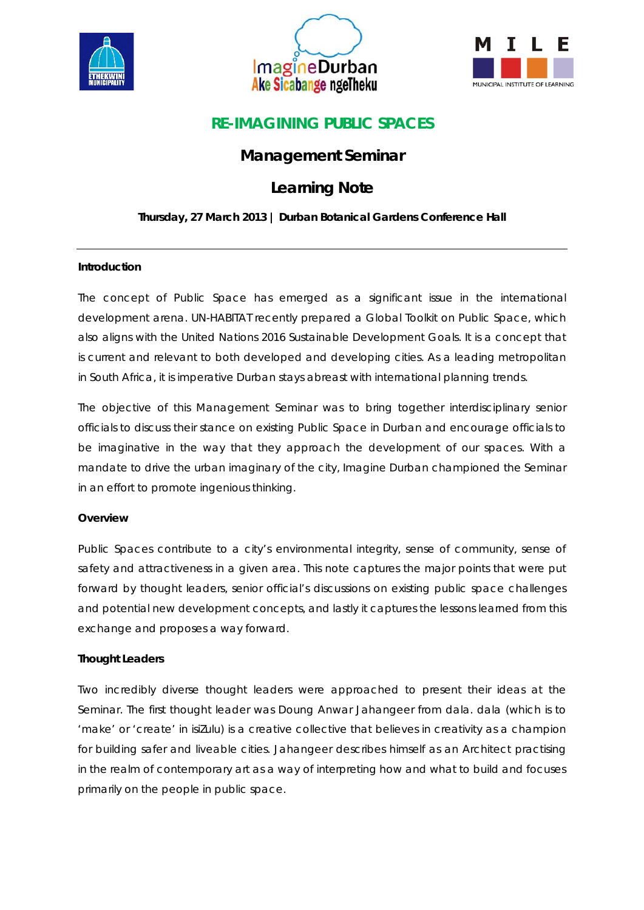





# **RE-IMAGINING PUBLIC SPACES**

# **Management Seminar**

# **Learning Note**

## **Thursday, 27 March 2013 | Durban Botanical Gardens Conference Hall**

### **Introduction**

The concept of Public Space has emerged as a significant issue in the international development arena. UN-HABITAT recently prepared a Global Toolkit on Public Space, which also aligns with the United Nations 2016 Sustainable Development Goals. It is a concept that is current and relevant to both developed and developing cities. As a leading metropolitan in South Africa, it is imperative Durban stays abreast with international planning trends.

The objective of this Management Seminar was to bring together interdisciplinary senior officials to discuss their stance on existing Public Space in Durban and encourage officials to be imaginative in the way that they approach the development of our spaces. With a mandate to drive the urban imaginary of the city, Imagine Durban championed the Seminar in an effort to promote ingenious thinking.

### **Overview**

Public Spaces contribute to a city's environmental integrity, sense of community, sense of safety and attractiveness in a given area. This note captures the major points that were put forward by thought leaders, senior official's discussions on existing public space challenges and potential new development concepts, and lastly it captures the lessons learned from this exchange and proposes a way forward.

## **Thought Leaders**

Two incredibly diverse thought leaders were approached to present their ideas at the Seminar. The first thought leader was Doung Anwar Jahangeer from dala. dala (which is to 'make' or 'create' in isiZulu) is a creative collective that believes in creativity as a champion for building safer and liveable cities. Jahangeer describes himself as an Architect practising in the realm of contemporary art as a way of interpreting how and what to build and focuses primarily on the people in public space.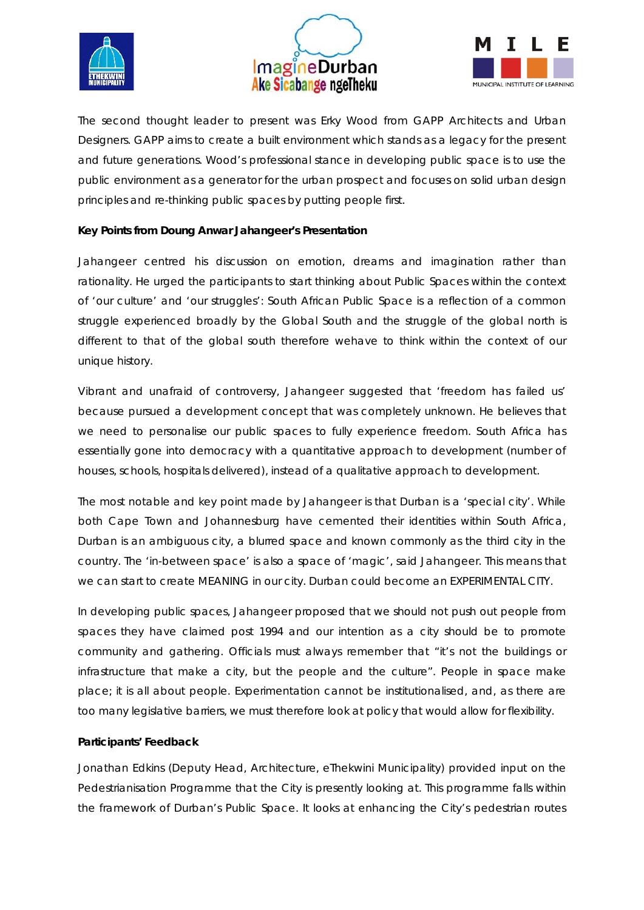





The second thought leader to present was Erky Wood from GAPP Architects and Urban Designers. GAPP aims to create a built environment which stands as a legacy for the present and future generations. Wood's professional stance in developing public space is to use the public environment as a generator for the urban prospect and focuses on solid urban design principles and re-thinking public spaces by putting people first.

### **Key Points from Doung Anwar Jahangeer's Presentation**

Jahangeer centred his discussion on emotion, dreams and imagination rather than rationality. He urged the participants to start thinking about Public Spaces within the context of 'our culture' and 'our struggles': South African Public Space is a reflection of a common struggle experienced broadly by the Global South and the struggle of the global north is different to that of the global south therefore wehave to think within the context of our unique history.

Vibrant and unafraid of controversy, Jahangeer suggested that 'freedom has failed us' because pursued a development concept that was completely unknown. He believes that we need to personalise our public spaces to fully experience freedom. South Africa has essentially gone into democracy with a quantitative approach to development (number of houses, schools, hospitals delivered), instead of a qualitative approach to development.

The most notable and key point made by Jahangeer is that Durban is a 'special city'. While both Cape Town and Johannesburg have cemented their identities within South Africa, Durban is an ambiguous city, a blurred space and known commonly as the third city in the country. The 'in-between space' is also a space of 'magic', said Jahangeer. This means that we can start to create MEANING in our city. Durban could become an EXPERIMENTAL CITY.

In developing public spaces, Jahangeer proposed that we should not push out people from spaces they have claimed post 1994 and our intention as a city should be to promote community and gathering. Officials must always remember that "it's not the buildings or infrastructure that make a city, but the people and the culture". People in space make place; it is all about people. Experimentation cannot be institutionalised, and, as there are too many legislative barriers, we must therefore look at policy that would allow for flexibility.

#### **Participants' Feedback**

Jonathan Edkins (Deputy Head, Architecture, eThekwini Municipality) provided input on the Pedestrianisation Programme that the City is presently looking at. This programme falls within the framework of Durban's Public Space. It looks at enhancing the City's pedestrian routes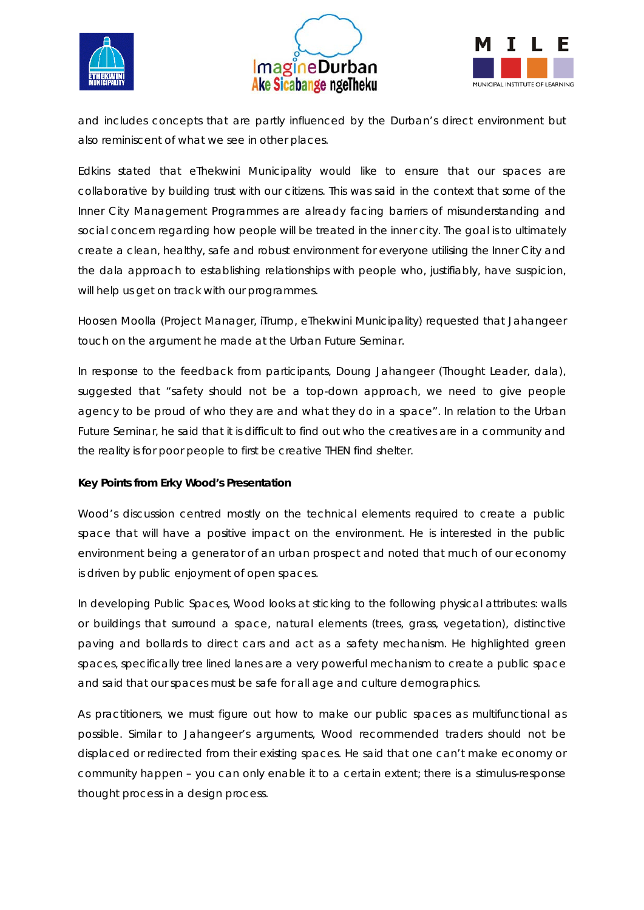





and includes concepts that are partly influenced by the Durban's direct environment but also reminiscent of what we see in other places.

Edkins stated that eThekwini Municipality would like to ensure that our spaces are collaborative by building trust with our citizens. This was said in the context that some of the Inner City Management Programmes are already facing barriers of misunderstanding and social concern regarding how people will be treated in the inner city. The goal is to ultimately create a clean, healthy, safe and robust environment for everyone utilising the Inner City and the dala approach to establishing relationships with people who, justifiably, have suspicion, will help us get on track with our programmes.

Hoosen Moolla (Project Manager, iTrump, eThekwini Municipality) requested that Jahangeer touch on the argument he made at the Urban Future Seminar.

In response to the feedback from participants, Doung Jahangeer (Thought Leader, dala), suggested that "safety should not be a top-down approach, we need to give people agency to be proud of who they are and what they do in a space". In relation to the Urban Future Seminar, he said that it is difficult to find out who the creatives are in a community and the reality is for poor people to first be creative THEN find shelter.

### **Key Points from Erky Wood's Presentation**

Wood's discussion centred mostly on the technical elements required to create a public space that will have a positive impact on the environment. He is interested in the public environment being a generator of an urban prospect and noted that much of our economy is driven by public enjoyment of open spaces.

In developing Public Spaces, Wood looks at sticking to the following physical attributes: walls or buildings that surround a space, natural elements (trees, grass, vegetation), distinctive paving and bollards to direct cars and act as a safety mechanism. He highlighted green spaces, specifically tree lined lanes are a very powerful mechanism to create a public space and said that our spaces must be safe for all age and culture demographics.

As practitioners, we must figure out how to make our public spaces as multifunctional as possible. Similar to Jahangeer's arguments, Wood recommended traders should not be displaced or redirected from their existing spaces. He said that one can't make economy or community happen – you can only enable it to a certain extent; there is a stimulus-response thought process in a design process.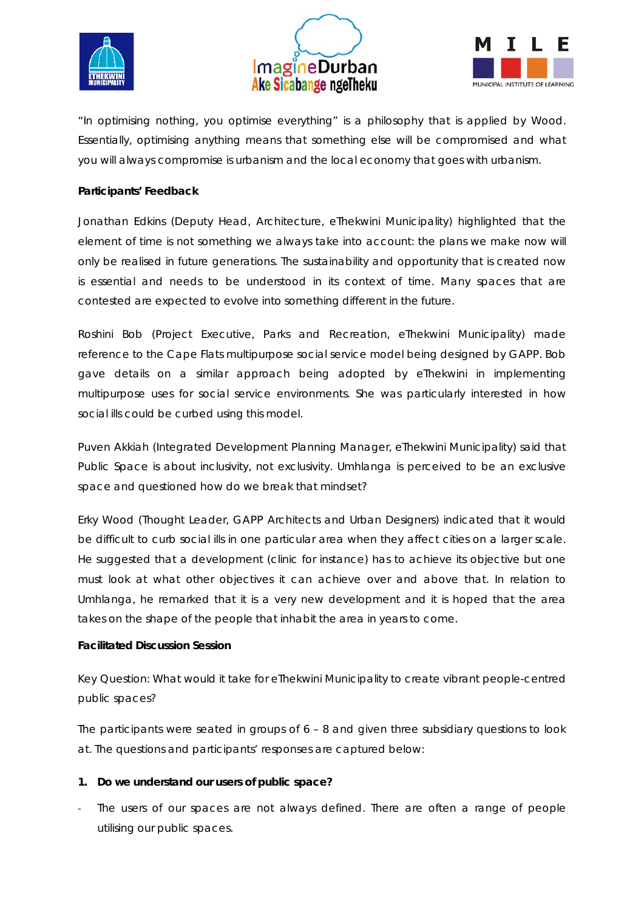





*"In optimising nothing, you optimise everything"* is a philosophy that is applied by Wood. Essentially, optimising anything means that something else will be compromised and what you will always compromise is urbanism and the local economy that goes with urbanism.

#### **Participants' Feedback**

Jonathan Edkins (Deputy Head, Architecture, eThekwini Municipality) highlighted that the element of time is not something we always take into account: the plans we make now will only be realised in future generations. The sustainability and opportunity that is created now is essential and needs to be understood in its context of time. Many spaces that are contested are expected to evolve into something different in the future.

Roshini Bob (Project Executive, Parks and Recreation, eThekwini Municipality) made reference to the Cape Flats multipurpose social service model being designed by GAPP. Bob gave details on a similar approach being adopted by eThekwini in implementing multipurpose uses for social service environments. She was particularly interested in how social ills could be curbed using this model.

Puven Akkiah (Integrated Development Planning Manager, eThekwini Municipality) said that Public Space is about inclusivity, not exclusivity. Umhlanga is perceived to be an exclusive space and questioned how do we break that mindset?

Erky Wood (Thought Leader, GAPP Architects and Urban Designers) indicated that it would be difficult to curb social ills in one particular area when they affect cities on a larger scale. He suggested that a development (clinic for instance) has to achieve its objective but one must look at what other objectives it can achieve over and above that. In relation to Umhlanga, he remarked that it is a very new development and it is hoped that the area takes on the shape of the people that inhabit the area in years to come.

#### **Facilitated Discussion Session**

Key Question: What would it take for eThekwini Municipality to create vibrant people-centred public spaces?

The participants were seated in groups of  $6 - 8$  and given three subsidiary questions to look at. The questions and participants' responses are captured below:

### **1. Do we understand our users of public space?**

The users of our spaces are not always defined. There are often a range of people utilising our public spaces.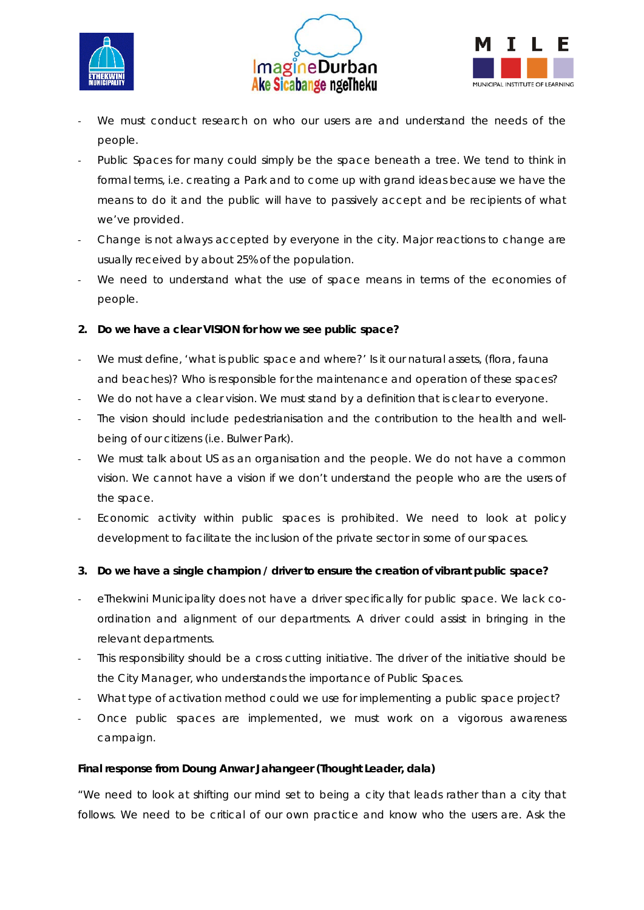





- We must conduct research on who our users are and understand the needs of the people.
- Public Spaces for many could simply be the space beneath a tree. We tend to think in formal terms, i.e. creating a Park and to come up with grand ideas because we have the means to do it and the public will have to passively accept and be recipients of what we've provided.
- Change is not always accepted by everyone in the city. Major reactions to change are usually received by about 25% of the population.
- We need to understand what the use of space means in terms of the economies of people.

## **2. Do we have a clear VISION for how we see public space?**

- We must define, 'what is public space and where?' Is it our natural assets, (flora, fauna and beaches)? Who is responsible for the maintenance and operation of these spaces?
- We do not have a clear vision. We must stand by a definition that is clear to everyone.
- The vision should include pedestrianisation and the contribution to the health and wellbeing of our citizens (i.e. Bulwer Park).
- We must talk about US as an organisation and the people. We do not have a common vision. We cannot have a vision if we don't understand the people who are the users of the space.
- Economic activity within public spaces is prohibited. We need to look at policy development to facilitate the inclusion of the private sector in some of our spaces.

## **3. Do we have a single champion / driver to ensure the creation of vibrant public space?**

- eThekwini Municipality does not have a driver specifically for public space. We lack coordination and alignment of our departments. A driver could assist in bringing in the relevant departments.
- This responsibility should be a cross cutting initiative. The driver of the initiative should be the City Manager, who understands the importance of Public Spaces.
- What type of activation method could we use for implementing a public space project?
- Once public spaces are implemented, we must work on a vigorous awareness campaign.

### **Final response from Doung Anwar Jahangeer (Thought Leader, dala)**

*"We need to look at shifting our mind set to being a city that leads rather than a city that*  follows. We need to be critical of our own practice and know who the users are. Ask the